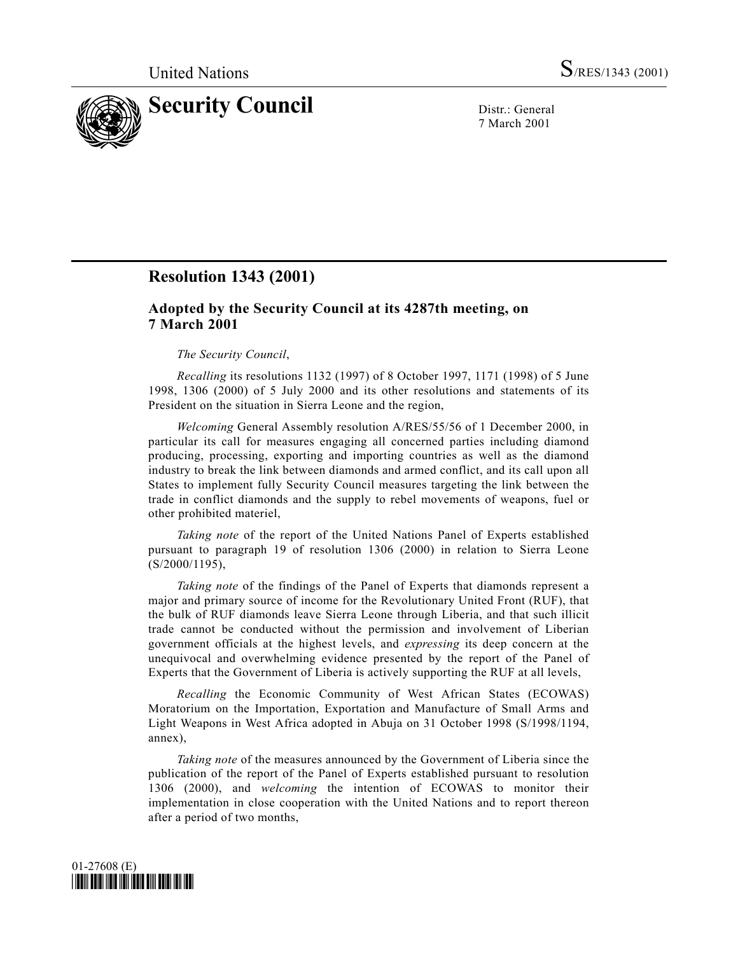

7 March 2001

# **Resolution 1343 (2001)**

## **Adopted by the Security Council at its 4287th meeting, on 7 March 2001**

### *The Security Council*,

*Recalling* its resolutions 1132 (1997) of 8 October 1997, 1171 (1998) of 5 June 1998, 1306 (2000) of 5 July 2000 and its other resolutions and statements of its President on the situation in Sierra Leone and the region,

*Welcoming* General Assembly resolution A/RES/55/56 of 1 December 2000, in particular its call for measures engaging all concerned parties including diamond producing, processing, exporting and importing countries as well as the diamond industry to break the link between diamonds and armed conflict, and its call upon all States to implement fully Security Council measures targeting the link between the trade in conflict diamonds and the supply to rebel movements of weapons, fuel or other prohibited materiel,

*Taking note* of the report of the United Nations Panel of Experts established pursuant to paragraph 19 of resolution 1306 (2000) in relation to Sierra Leone (S/2000/1195),

*Taking note* of the findings of the Panel of Experts that diamonds represent a major and primary source of income for the Revolutionary United Front (RUF), that the bulk of RUF diamonds leave Sierra Leone through Liberia, and that such illicit trade cannot be conducted without the permission and involvement of Liberian government officials at the highest levels, and *expressing* its deep concern at the unequivocal and overwhelming evidence presented by the report of the Panel of Experts that the Government of Liberia is actively supporting the RUF at all levels,

*Recalling* the Economic Community of West African States (ECOWAS) Moratorium on the Importation, Exportation and Manufacture of Small Arms and Light Weapons in West Africa adopted in Abuja on 31 October 1998 (S/1998/1194, annex),

*Taking note* of the measures announced by the Government of Liberia since the publication of the report of the Panel of Experts established pursuant to resolution 1306 (2000), and *welcoming* the intention of ECOWAS to monitor their implementation in close cooperation with the United Nations and to report thereon after a period of two months,

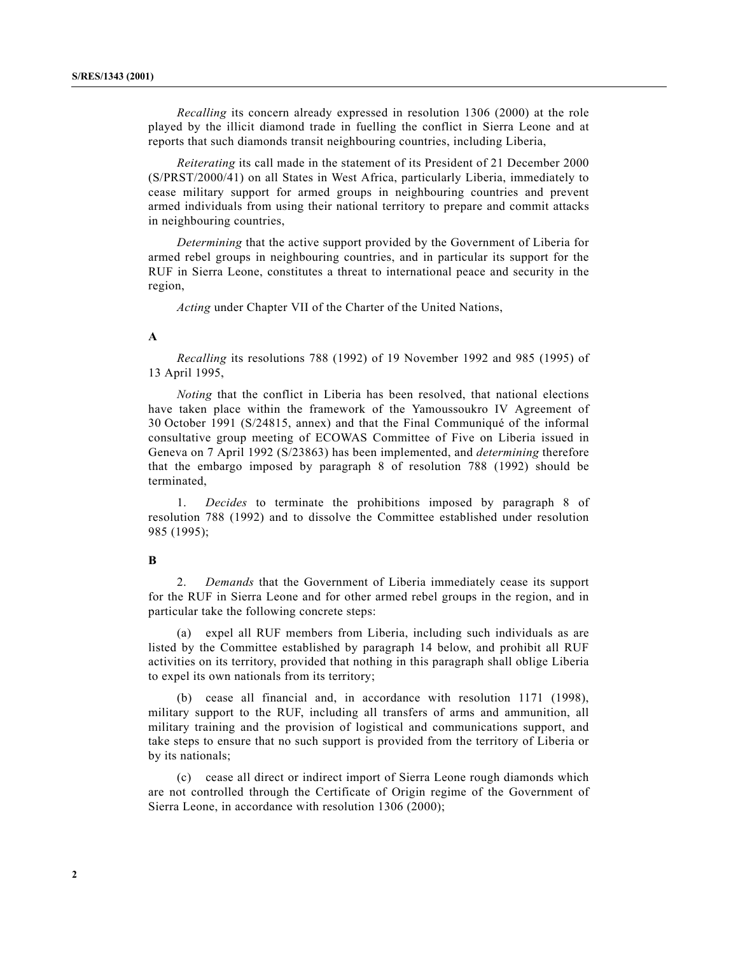*Recalling* its concern already expressed in resolution 1306 (2000) at the role played by the illicit diamond trade in fuelling the conflict in Sierra Leone and at reports that such diamonds transit neighbouring countries, including Liberia,

*Reiterating* its call made in the statement of its President of 21 December 2000 (S/PRST/2000/41) on all States in West Africa, particularly Liberia, immediately to cease military support for armed groups in neighbouring countries and prevent armed individuals from using their national territory to prepare and commit attacks in neighbouring countries,

*Determining* that the active support provided by the Government of Liberia for armed rebel groups in neighbouring countries, and in particular its support for the RUF in Sierra Leone, constitutes a threat to international peace and security in the region,

*Acting* under Chapter VII of the Charter of the United Nations,

### **A**

*Recalling* its resolutions 788 (1992) of 19 November 1992 and 985 (1995) of 13 April 1995,

*Noting* that the conflict in Liberia has been resolved, that national elections have taken place within the framework of the Yamoussoukro IV Agreement of 30 October 1991 (S/24815, annex) and that the Final Communiqué of the informal consultative group meeting of ECOWAS Committee of Five on Liberia issued in Geneva on 7 April 1992 (S/23863) has been implemented, and *determining* therefore that the embargo imposed by paragraph 8 of resolution 788 (1992) should be terminated,

1. *Decides* to terminate the prohibitions imposed by paragraph 8 of resolution 788 (1992) and to dissolve the Committee established under resolution 985 (1995);

#### **B**

2. *Demands* that the Government of Liberia immediately cease its support for the RUF in Sierra Leone and for other armed rebel groups in the region, and in particular take the following concrete steps:

(a) expel all RUF members from Liberia, including such individuals as are listed by the Committee established by paragraph 14 below, and prohibit all RUF activities on its territory, provided that nothing in this paragraph shall oblige Liberia to expel its own nationals from its territory;

(b) cease all financial and, in accordance with resolution 1171 (1998), military support to the RUF, including all transfers of arms and ammunition, all military training and the provision of logistical and communications support, and take steps to ensure that no such support is provided from the territory of Liberia or by its nationals;

(c) cease all direct or indirect import of Sierra Leone rough diamonds which are not controlled through the Certificate of Origin regime of the Government of Sierra Leone, in accordance with resolution 1306 (2000);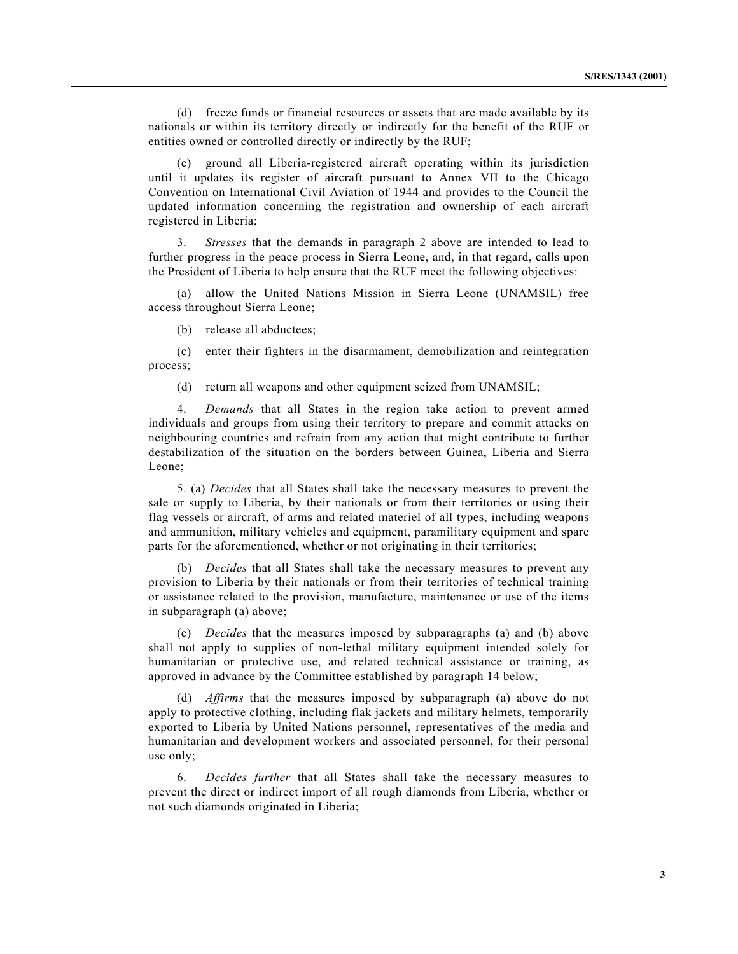(d) freeze funds or financial resources or assets that are made available by its nationals or within its territory directly or indirectly for the benefit of the RUF or entities owned or controlled directly or indirectly by the RUF;

(e) ground all Liberia-registered aircraft operating within its jurisdiction until it updates its register of aircraft pursuant to Annex VII to the Chicago Convention on International Civil Aviation of 1944 and provides to the Council the updated information concerning the registration and ownership of each aircraft registered in Liberia;

3. *Stresses* that the demands in paragraph 2 above are intended to lead to further progress in the peace process in Sierra Leone, and, in that regard, calls upon the President of Liberia to help ensure that the RUF meet the following objectives:

(a) allow the United Nations Mission in Sierra Leone (UNAMSIL) free access throughout Sierra Leone;

(b) release all abductees;

(c) enter their fighters in the disarmament, demobilization and reintegration process;

(d) return all weapons and other equipment seized from UNAMSIL;

4. *Demands* that all States in the region take action to prevent armed individuals and groups from using their territory to prepare and commit attacks on neighbouring countries and refrain from any action that might contribute to further destabilization of the situation on the borders between Guinea, Liberia and Sierra Leone;

5. (a) *Decides* that all States shall take the necessary measures to prevent the sale or supply to Liberia, by their nationals or from their territories or using their flag vessels or aircraft, of arms and related materiel of all types, including weapons and ammunition, military vehicles and equipment, paramilitary equipment and spare parts for the aforementioned, whether or not originating in their territories;

(b) *Decides* that all States shall take the necessary measures to prevent any provision to Liberia by their nationals or from their territories of technical training or assistance related to the provision, manufacture, maintenance or use of the items in subparagraph (a) above;

(c) *Decides* that the measures imposed by subparagraphs (a) and (b) above shall not apply to supplies of non-lethal military equipment intended solely for humanitarian or protective use, and related technical assistance or training, as approved in advance by the Committee established by paragraph 14 below;

(d) *Affirms* that the measures imposed by subparagraph (a) above do not apply to protective clothing, including flak jackets and military helmets, temporarily exported to Liberia by United Nations personnel, representatives of the media and humanitarian and development workers and associated personnel, for their personal use only;

6. *Decides further* that all States shall take the necessary measures to prevent the direct or indirect import of all rough diamonds from Liberia, whether or not such diamonds originated in Liberia;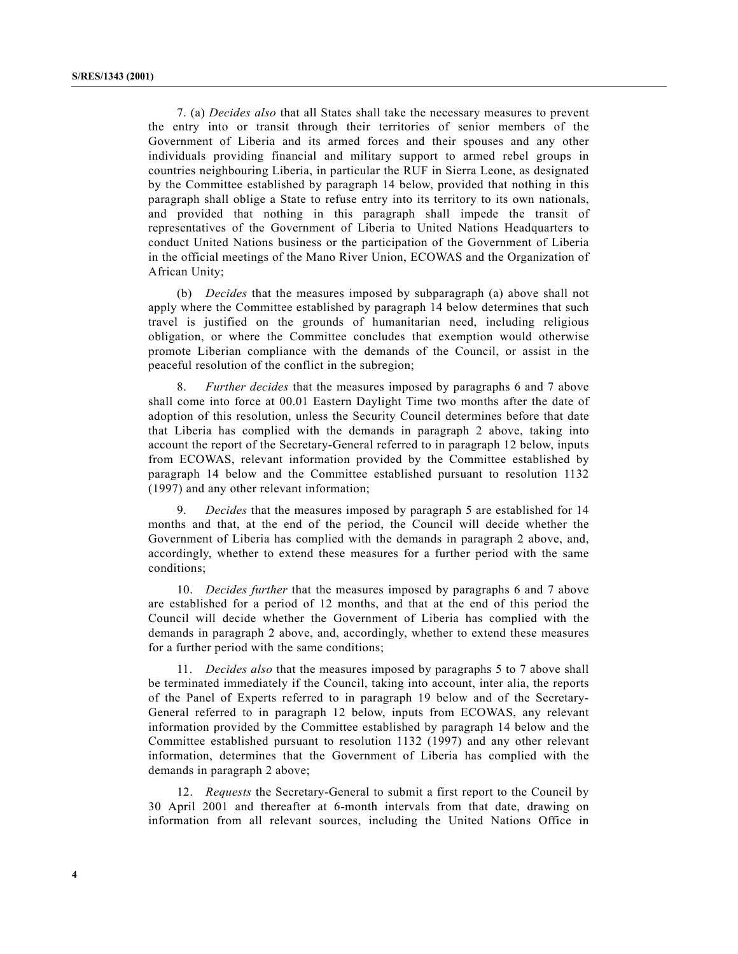7. (a) *Decides also* that all States shall take the necessary measures to prevent the entry into or transit through their territories of senior members of the Government of Liberia and its armed forces and their spouses and any other individuals providing financial and military support to armed rebel groups in countries neighbouring Liberia, in particular the RUF in Sierra Leone, as designated by the Committee established by paragraph 14 below, provided that nothing in this paragraph shall oblige a State to refuse entry into its territory to its own nationals, and provided that nothing in this paragraph shall impede the transit of representatives of the Government of Liberia to United Nations Headquarters to conduct United Nations business or the participation of the Government of Liberia in the official meetings of the Mano River Union, ECOWAS and the Organization of African Unity;

(b) *Decides* that the measures imposed by subparagraph (a) above shall not apply where the Committee established by paragraph 14 below determines that such travel is justified on the grounds of humanitarian need, including religious obligation, or where the Committee concludes that exemption would otherwise promote Liberian compliance with the demands of the Council, or assist in the peaceful resolution of the conflict in the subregion;

8. *Further decides* that the measures imposed by paragraphs 6 and 7 above shall come into force at 00.01 Eastern Daylight Time two months after the date of adoption of this resolution, unless the Security Council determines before that date that Liberia has complied with the demands in paragraph 2 above, taking into account the report of the Secretary-General referred to in paragraph 12 below, inputs from ECOWAS, relevant information provided by the Committee established by paragraph 14 below and the Committee established pursuant to resolution 1132 (1997) and any other relevant information;

9. *Decides* that the measures imposed by paragraph 5 are established for 14 months and that, at the end of the period, the Council will decide whether the Government of Liberia has complied with the demands in paragraph 2 above, and, accordingly, whether to extend these measures for a further period with the same conditions;

10. *Decides further* that the measures imposed by paragraphs 6 and 7 above are established for a period of 12 months, and that at the end of this period the Council will decide whether the Government of Liberia has complied with the demands in paragraph 2 above, and, accordingly, whether to extend these measures for a further period with the same conditions;

11. *Decides also* that the measures imposed by paragraphs 5 to 7 above shall be terminated immediately if the Council, taking into account, inter alia, the reports of the Panel of Experts referred to in paragraph 19 below and of the Secretary-General referred to in paragraph 12 below, inputs from ECOWAS, any relevant information provided by the Committee established by paragraph 14 below and the Committee established pursuant to resolution 1132 (1997) and any other relevant information, determines that the Government of Liberia has complied with the demands in paragraph 2 above;

12. *Requests* the Secretary-General to submit a first report to the Council by 30 April 2001 and thereafter at 6-month intervals from that date, drawing on information from all relevant sources, including the United Nations Office in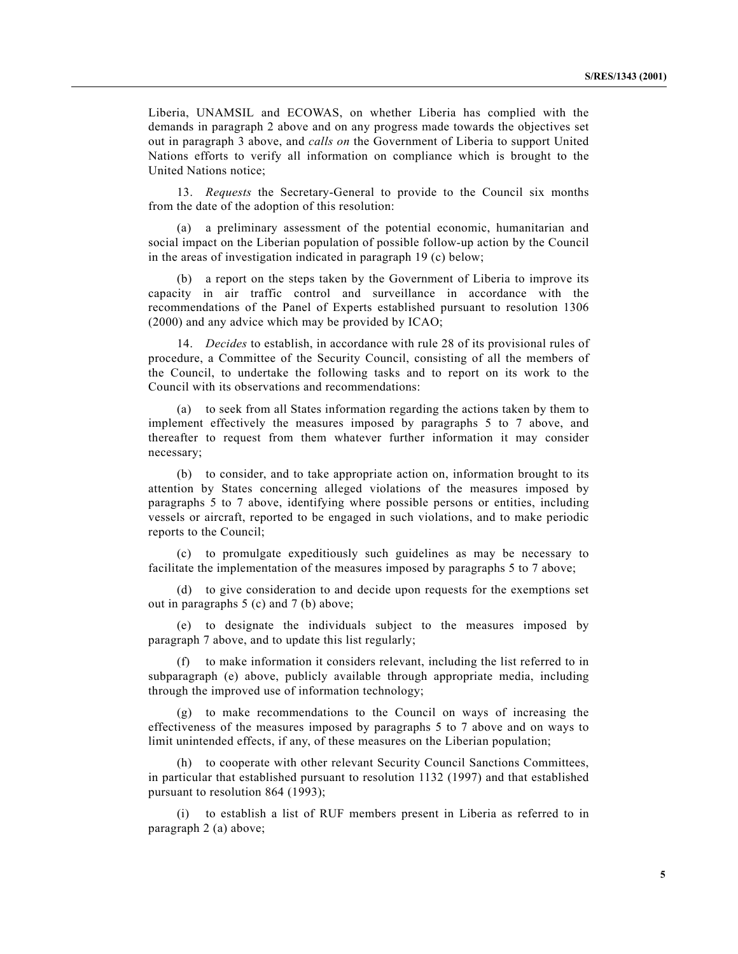Liberia, UNAMSIL and ECOWAS, on whether Liberia has complied with the demands in paragraph 2 above and on any progress made towards the objectives set out in paragraph 3 above, and *calls on* the Government of Liberia to support United Nations efforts to verify all information on compliance which is brought to the United Nations notice;

13. *Requests* the Secretary-General to provide to the Council six months from the date of the adoption of this resolution:

(a) a preliminary assessment of the potential economic, humanitarian and social impact on the Liberian population of possible follow-up action by the Council in the areas of investigation indicated in paragraph 19 (c) below;

(b) a report on the steps taken by the Government of Liberia to improve its capacity in air traffic control and surveillance in accordance with the recommendations of the Panel of Experts established pursuant to resolution 1306 (2000) and any advice which may be provided by ICAO;

14. *Decides* to establish, in accordance with rule 28 of its provisional rules of procedure, a Committee of the Security Council, consisting of all the members of the Council, to undertake the following tasks and to report on its work to the Council with its observations and recommendations:

(a) to seek from all States information regarding the actions taken by them to implement effectively the measures imposed by paragraphs 5 to 7 above, and thereafter to request from them whatever further information it may consider necessary;

(b) to consider, and to take appropriate action on, information brought to its attention by States concerning alleged violations of the measures imposed by paragraphs 5 to 7 above, identifying where possible persons or entities, including vessels or aircraft, reported to be engaged in such violations, and to make periodic reports to the Council;

(c) to promulgate expeditiously such guidelines as may be necessary to facilitate the implementation of the measures imposed by paragraphs 5 to 7 above;

(d) to give consideration to and decide upon requests for the exemptions set out in paragraphs 5 (c) and 7 (b) above;

(e) to designate the individuals subject to the measures imposed by paragraph 7 above, and to update this list regularly;

(f) to make information it considers relevant, including the list referred to in subparagraph (e) above, publicly available through appropriate media, including through the improved use of information technology;

(g) to make recommendations to the Council on ways of increasing the effectiveness of the measures imposed by paragraphs 5 to 7 above and on ways to limit unintended effects, if any, of these measures on the Liberian population;

(h) to cooperate with other relevant Security Council Sanctions Committees, in particular that established pursuant to resolution 1132 (1997) and that established pursuant to resolution 864 (1993);

(i) to establish a list of RUF members present in Liberia as referred to in paragraph 2 (a) above;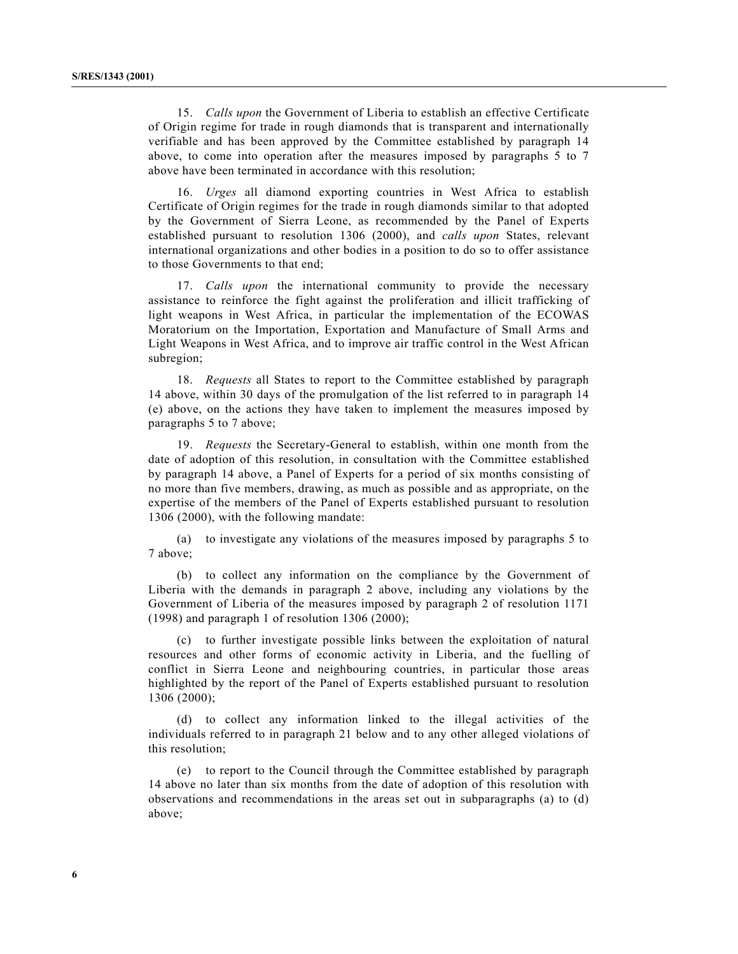15. *Calls upon* the Government of Liberia to establish an effective Certificate of Origin regime for trade in rough diamonds that is transparent and internationally verifiable and has been approved by the Committee established by paragraph 14 above, to come into operation after the measures imposed by paragraphs 5 to 7 above have been terminated in accordance with this resolution;

16. *Urges* all diamond exporting countries in West Africa to establish Certificate of Origin regimes for the trade in rough diamonds similar to that adopted by the Government of Sierra Leone, as recommended by the Panel of Experts established pursuant to resolution 1306 (2000), and *calls upon* States, relevant international organizations and other bodies in a position to do so to offer assistance to those Governments to that end;

17. *Calls upon* the international community to provide the necessary assistance to reinforce the fight against the proliferation and illicit trafficking of light weapons in West Africa, in particular the implementation of the ECOWAS Moratorium on the Importation, Exportation and Manufacture of Small Arms and Light Weapons in West Africa, and to improve air traffic control in the West African subregion;

18. *Requests* all States to report to the Committee established by paragraph 14 above, within 30 days of the promulgation of the list referred to in paragraph 14 (e) above, on the actions they have taken to implement the measures imposed by paragraphs 5 to 7 above;

19. *Requests* the Secretary-General to establish, within one month from the date of adoption of this resolution, in consultation with the Committee established by paragraph 14 above, a Panel of Experts for a period of six months consisting of no more than five members, drawing, as much as possible and as appropriate, on the expertise of the members of the Panel of Experts established pursuant to resolution 1306 (2000), with the following mandate:

(a) to investigate any violations of the measures imposed by paragraphs 5 to 7 above;

(b) to collect any information on the compliance by the Government of Liberia with the demands in paragraph 2 above, including any violations by the Government of Liberia of the measures imposed by paragraph 2 of resolution 1171 (1998) and paragraph 1 of resolution  $1306$  (2000);

(c) to further investigate possible links between the exploitation of natural resources and other forms of economic activity in Liberia, and the fuelling of conflict in Sierra Leone and neighbouring countries, in particular those areas highlighted by the report of the Panel of Experts established pursuant to resolution 1306 (2000);

(d) to collect any information linked to the illegal activities of the individuals referred to in paragraph 21 below and to any other alleged violations of this resolution;

(e) to report to the Council through the Committee established by paragraph 14 above no later than six months from the date of adoption of this resolution with observations and recommendations in the areas set out in subparagraphs (a) to (d) above;